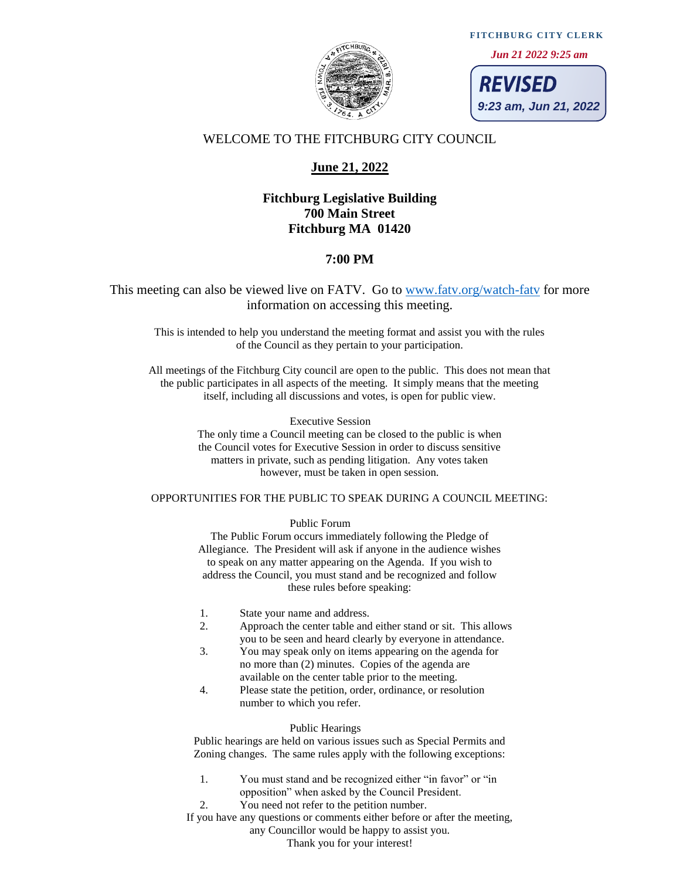**FITCHBURG CITY CLERK** 

 *Jun 21 2022 9:25 am*



**REVISED 9:23 am, Jun 21, 2022**

### WELCOME TO THE FITCHBURG CITY COUNCIL

## **June 21, 2022**

# **Fitchburg Legislative Building 700 Main Street Fitchburg MA 01420**

### **7:00 PM**

This meeting can also be viewed live on FATV. Go to [www.fatv.org/watch-fatv](http://www.fatv.org/watch-fatv) for more information on accessing this meeting.

This is intended to help you understand the meeting format and assist you with the rules of the Council as they pertain to your participation.

All meetings of the Fitchburg City council are open to the public. This does not mean that the public participates in all aspects of the meeting. It simply means that the meeting itself, including all discussions and votes, is open for public view.

#### Executive Session

The only time a Council meeting can be closed to the public is when the Council votes for Executive Session in order to discuss sensitive matters in private, such as pending litigation. Any votes taken however, must be taken in open session.

#### OPPORTUNITIES FOR THE PUBLIC TO SPEAK DURING A COUNCIL MEETING:

Public Forum

The Public Forum occurs immediately following the Pledge of Allegiance. The President will ask if anyone in the audience wishes to speak on any matter appearing on the Agenda. If you wish to address the Council, you must stand and be recognized and follow these rules before speaking:

- 1. State your name and address.
- 2. Approach the center table and either stand or sit. This allows you to be seen and heard clearly by everyone in attendance.
- 3. You may speak only on items appearing on the agenda for no more than (2) minutes. Copies of the agenda are available on the center table prior to the meeting.
- 4. Please state the petition, order, ordinance, or resolution number to which you refer.

#### Public Hearings

Public hearings are held on various issues such as Special Permits and Zoning changes. The same rules apply with the following exceptions:

- 1. You must stand and be recognized either "in favor" or "in opposition" when asked by the Council President.
- 2. You need not refer to the petition number.

If you have any questions or comments either before or after the meeting,

any Councillor would be happy to assist you.

Thank you for your interest!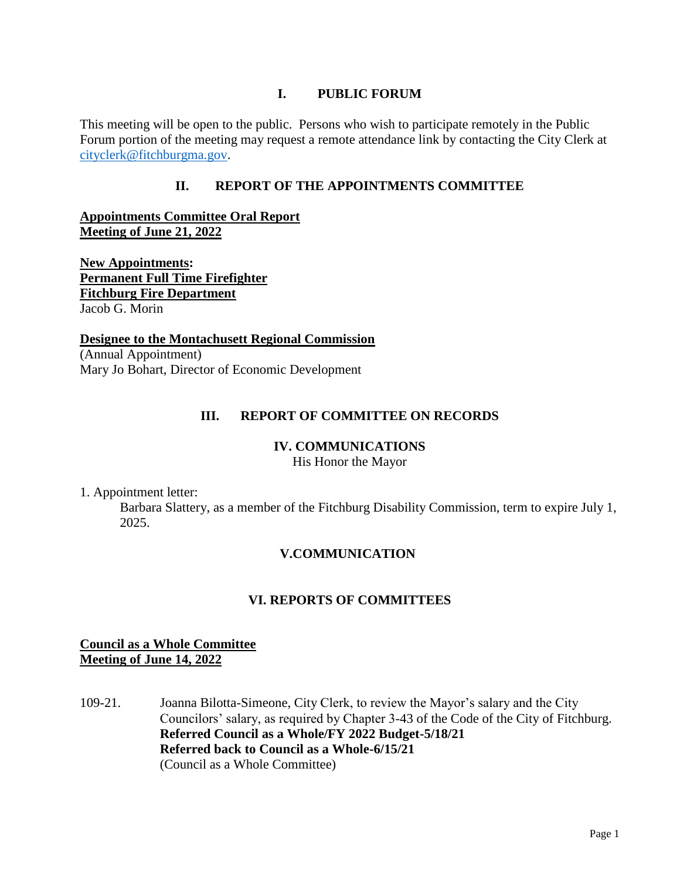## **I. PUBLIC FORUM**

This meeting will be open to the public. Persons who wish to participate remotely in the Public Forum portion of the meeting may request a remote attendance link by contacting the City Clerk at [cityclerk@fitchburgma.gov.](mailto:cityclerk@fitchburgma.gov)

# **II. REPORT OF THE APPOINTMENTS COMMITTEE**

**Appointments Committee Oral Report Meeting of June 21, 2022**

**New Appointments: Permanent Full Time Firefighter Fitchburg Fire Department** Jacob G. Morin

**Designee to the Montachusett Regional Commission** (Annual Appointment) Mary Jo Bohart, Director of Economic Development

# **III. REPORT OF COMMITTEE ON RECORDS**

### **IV. COMMUNICATIONS**

His Honor the Mayor

1. Appointment letter:

Barbara Slattery, as a member of the Fitchburg Disability Commission, term to expire July 1, 2025.

# **V.COMMUNICATION**

# **VI. REPORTS OF COMMITTEES**

# **Council as a Whole Committee Meeting of June 14, 2022**

109-21. Joanna Bilotta-Simeone, City Clerk, to review the Mayor's salary and the City Councilors' salary, as required by Chapter 3-43 of the Code of the City of Fitchburg. **Referred Council as a Whole/FY 2022 Budget-5/18/21 Referred back to Council as a Whole-6/15/21** (Council as a Whole Committee)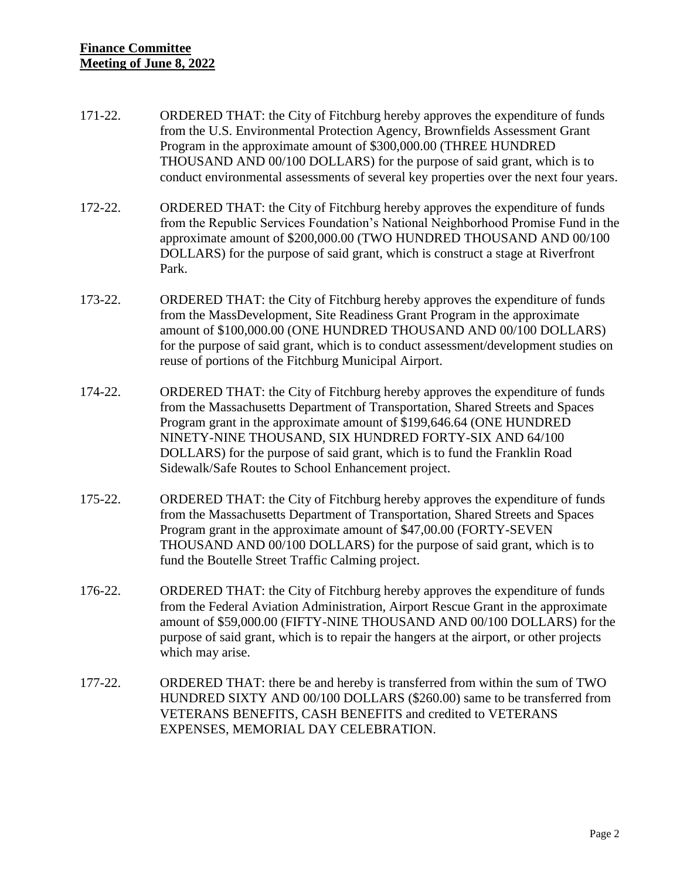- 171-22. ORDERED THAT: the City of Fitchburg hereby approves the expenditure of funds from the U.S. Environmental Protection Agency, Brownfields Assessment Grant Program in the approximate amount of \$300,000.00 (THREE HUNDRED THOUSAND AND 00/100 DOLLARS) for the purpose of said grant, which is to conduct environmental assessments of several key properties over the next four years.
- 172-22. ORDERED THAT: the City of Fitchburg hereby approves the expenditure of funds from the Republic Services Foundation's National Neighborhood Promise Fund in the approximate amount of \$200,000.00 (TWO HUNDRED THOUSAND AND 00/100 DOLLARS) for the purpose of said grant, which is construct a stage at Riverfront Park.
- 173-22. ORDERED THAT: the City of Fitchburg hereby approves the expenditure of funds from the MassDevelopment, Site Readiness Grant Program in the approximate amount of \$100,000.00 (ONE HUNDRED THOUSAND AND 00/100 DOLLARS) for the purpose of said grant, which is to conduct assessment/development studies on reuse of portions of the Fitchburg Municipal Airport.
- 174-22. ORDERED THAT: the City of Fitchburg hereby approves the expenditure of funds from the Massachusetts Department of Transportation, Shared Streets and Spaces Program grant in the approximate amount of \$199,646.64 (ONE HUNDRED NINETY-NINE THOUSAND, SIX HUNDRED FORTY-SIX AND 64/100 DOLLARS) for the purpose of said grant, which is to fund the Franklin Road Sidewalk/Safe Routes to School Enhancement project.
- 175-22. ORDERED THAT: the City of Fitchburg hereby approves the expenditure of funds from the Massachusetts Department of Transportation, Shared Streets and Spaces Program grant in the approximate amount of \$47,00.00 (FORTY-SEVEN THOUSAND AND 00/100 DOLLARS) for the purpose of said grant, which is to fund the Boutelle Street Traffic Calming project.
- 176-22. ORDERED THAT: the City of Fitchburg hereby approves the expenditure of funds from the Federal Aviation Administration, Airport Rescue Grant in the approximate amount of \$59,000.00 (FIFTY-NINE THOUSAND AND 00/100 DOLLARS) for the purpose of said grant, which is to repair the hangers at the airport, or other projects which may arise.
- 177-22. ORDERED THAT: there be and hereby is transferred from within the sum of TWO HUNDRED SIXTY AND 00/100 DOLLARS (\$260.00) same to be transferred from VETERANS BENEFITS, CASH BENEFITS and credited to VETERANS EXPENSES, MEMORIAL DAY CELEBRATION.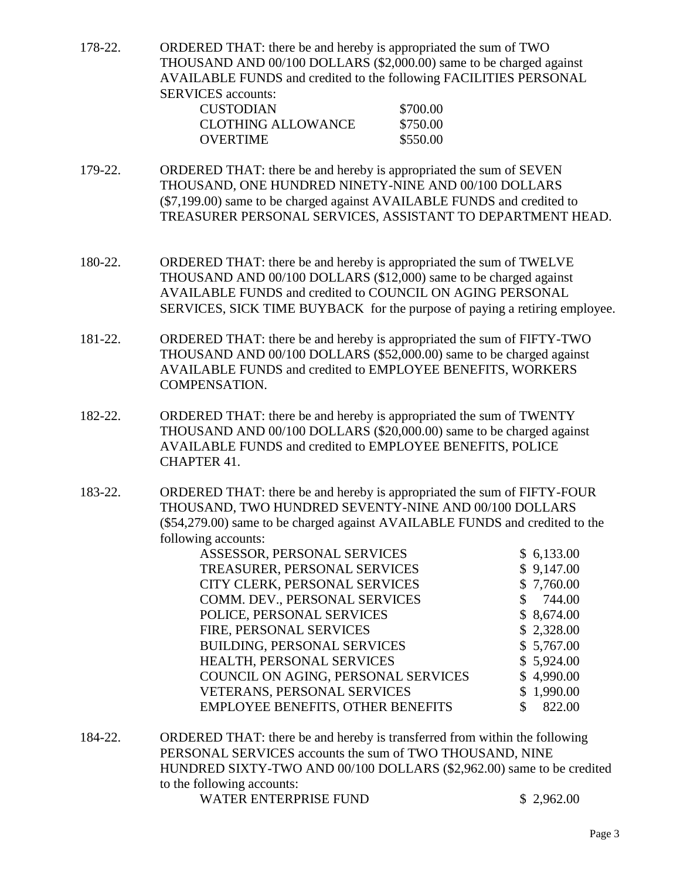178-22. ORDERED THAT: there be and hereby is appropriated the sum of TWO THOUSAND AND 00/100 DOLLARS (\$2,000.00) same to be charged against AVAILABLE FUNDS and credited to the following FACILITIES PERSONAL SERVICES accounts:

| \$700.00 |
|----------|
| \$750.00 |
| \$550.00 |
|          |

- 179-22. ORDERED THAT: there be and hereby is appropriated the sum of SEVEN THOUSAND, ONE HUNDRED NINETY-NINE AND 00/100 DOLLARS (\$7,199.00) same to be charged against AVAILABLE FUNDS and credited to TREASURER PERSONAL SERVICES, ASSISTANT TO DEPARTMENT HEAD.
- 180-22. ORDERED THAT: there be and hereby is appropriated the sum of TWELVE THOUSAND AND 00/100 DOLLARS (\$12,000) same to be charged against AVAILABLE FUNDS and credited to COUNCIL ON AGING PERSONAL SERVICES, SICK TIME BUYBACK for the purpose of paying a retiring employee.
- 181-22. ORDERED THAT: there be and hereby is appropriated the sum of FIFTY-TWO THOUSAND AND 00/100 DOLLARS (\$52,000.00) same to be charged against AVAILABLE FUNDS and credited to EMPLOYEE BENEFITS, WORKERS COMPENSATION.
- 182-22. ORDERED THAT: there be and hereby is appropriated the sum of TWENTY THOUSAND AND 00/100 DOLLARS (\$20,000.00) same to be charged against AVAILABLE FUNDS and credited to EMPLOYEE BENEFITS, POLICE CHAPTER 41.
- 183-22. ORDERED THAT: there be and hereby is appropriated the sum of FIFTY-FOUR THOUSAND, TWO HUNDRED SEVENTY-NINE AND 00/100 DOLLARS (\$54,279.00) same to be charged against AVAILABLE FUNDS and credited to the following accounts:

| ASSESSOR, PERSONAL SERVICES              | \$6,133.00 |
|------------------------------------------|------------|
| TREASURER, PERSONAL SERVICES             | \$9,147.00 |
| CITY CLERK, PERSONAL SERVICES            | \$7,760.00 |
| COMM. DEV., PERSONAL SERVICES            | 744.00     |
| POLICE, PERSONAL SERVICES                | \$8,674.00 |
| FIRE, PERSONAL SERVICES                  | \$2,328.00 |
| <b>BUILDING, PERSONAL SERVICES</b>       | \$5,767.00 |
| HEALTH, PERSONAL SERVICES                | \$5,924.00 |
| COUNCIL ON AGING, PERSONAL SERVICES      | \$4,990.00 |
| VETERANS, PERSONAL SERVICES              | \$1,990.00 |
| <b>EMPLOYEE BENEFITS, OTHER BENEFITS</b> | 822.00     |

184-22. ORDERED THAT: there be and hereby is transferred from within the following PERSONAL SERVICES accounts the sum of TWO THOUSAND, NINE HUNDRED SIXTY-TWO AND 00/100 DOLLARS (\$2,962.00) same to be credited to the following accounts: WATER ENTERPRISE FUND \$2,962.00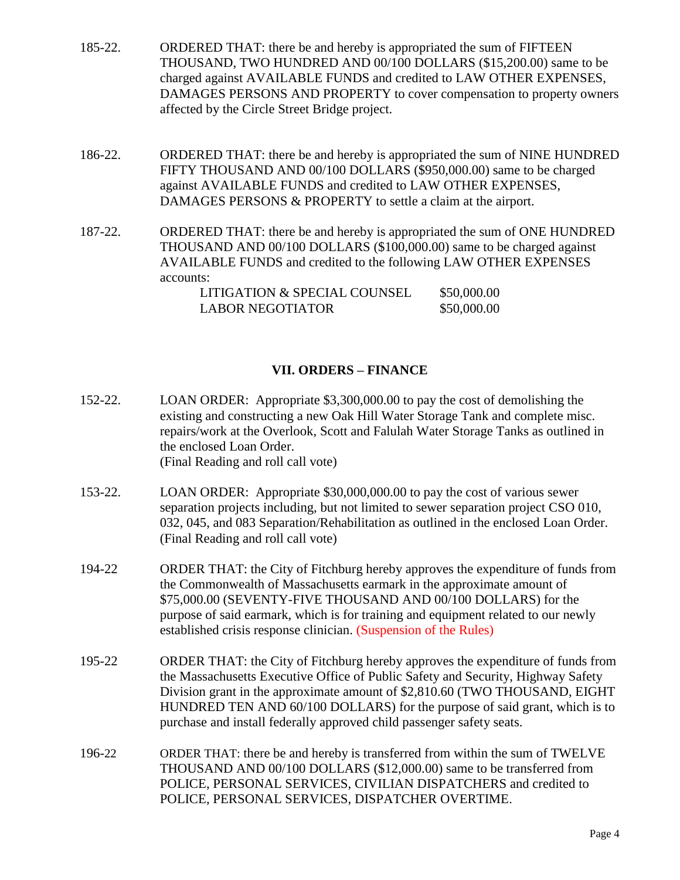- 185-22. ORDERED THAT: there be and hereby is appropriated the sum of FIFTEEN THOUSAND, TWO HUNDRED AND 00/100 DOLLARS (\$15,200.00) same to be charged against AVAILABLE FUNDS and credited to LAW OTHER EXPENSES, DAMAGES PERSONS AND PROPERTY to cover compensation to property owners affected by the Circle Street Bridge project.
- 186-22. ORDERED THAT: there be and hereby is appropriated the sum of NINE HUNDRED FIFTY THOUSAND AND 00/100 DOLLARS (\$950,000.00) same to be charged against AVAILABLE FUNDS and credited to LAW OTHER EXPENSES, DAMAGES PERSONS & PROPERTY to settle a claim at the airport.
- 187-22. ORDERED THAT: there be and hereby is appropriated the sum of ONE HUNDRED THOUSAND AND 00/100 DOLLARS (\$100,000.00) same to be charged against AVAILABLE FUNDS and credited to the following LAW OTHER EXPENSES accounts:

LITIGATION & SPECIAL COUNSEL \$50,000.00 LABOR NEGOTIATOR \$50,000.00

# **VII. ORDERS – FINANCE**

- 152-22. LOAN ORDER: Appropriate \$3,300,000.00 to pay the cost of demolishing the existing and constructing a new Oak Hill Water Storage Tank and complete misc. repairs/work at the Overlook, Scott and Falulah Water Storage Tanks as outlined in the enclosed Loan Order. (Final Reading and roll call vote)
- 153-22. LOAN ORDER: Appropriate \$30,000,000.00 to pay the cost of various sewer separation projects including, but not limited to sewer separation project CSO 010, 032, 045, and 083 Separation/Rehabilitation as outlined in the enclosed Loan Order. (Final Reading and roll call vote)
- 194-22 ORDER THAT: the City of Fitchburg hereby approves the expenditure of funds from the Commonwealth of Massachusetts earmark in the approximate amount of \$75,000.00 (SEVENTY-FIVE THOUSAND AND 00/100 DOLLARS) for the purpose of said earmark, which is for training and equipment related to our newly established crisis response clinician. (Suspension of the Rules)
- 195-22 ORDER THAT: the City of Fitchburg hereby approves the expenditure of funds from the Massachusetts Executive Office of Public Safety and Security, Highway Safety Division grant in the approximate amount of \$2,810.60 (TWO THOUSAND, EIGHT HUNDRED TEN AND 60/100 DOLLARS) for the purpose of said grant, which is to purchase and install federally approved child passenger safety seats.
- 196-22 ORDER THAT: there be and hereby is transferred from within the sum of TWELVE THOUSAND AND 00/100 DOLLARS (\$12,000.00) same to be transferred from POLICE, PERSONAL SERVICES, CIVILIAN DISPATCHERS and credited to POLICE, PERSONAL SERVICES, DISPATCHER OVERTIME.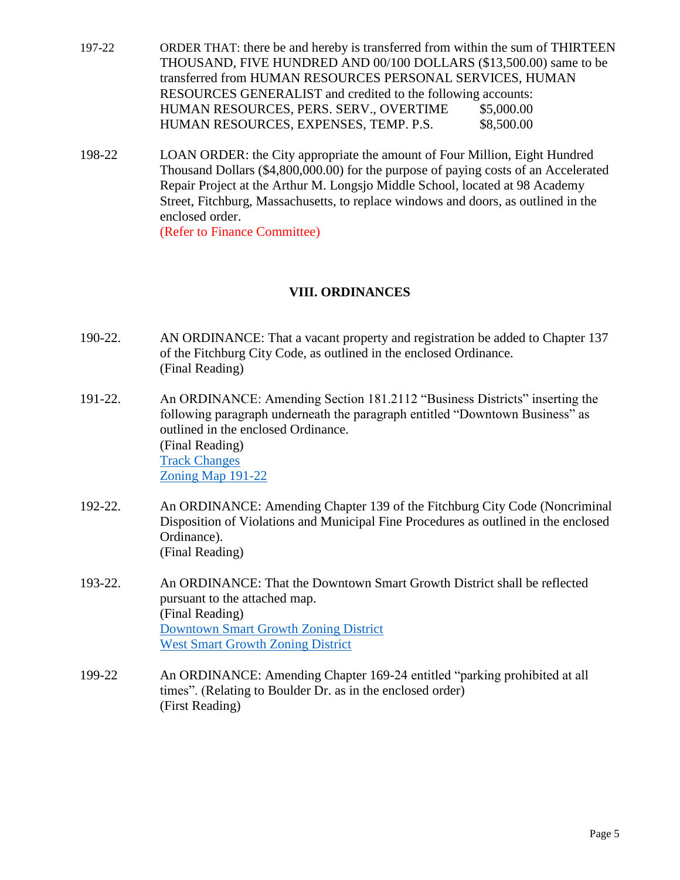- 197-22 ORDER THAT: there be and hereby is transferred from within the sum of THIRTEEN THOUSAND, FIVE HUNDRED AND 00/100 DOLLARS (\$13,500.00) same to be transferred from HUMAN RESOURCES PERSONAL SERVICES, HUMAN RESOURCES GENERALIST and credited to the following accounts: HUMAN RESOURCES, PERS. SERV., OVERTIME \$5,000.00 HUMAN RESOURCES, EXPENSES, TEMP. P.S. \$8,500.00
- 198-22 LOAN ORDER: the City appropriate the amount of Four Million, Eight Hundred Thousand Dollars (\$4,800,000.00) for the purpose of paying costs of an Accelerated Repair Project at the Arthur M. Longsjo Middle School, located at 98 Academy Street, Fitchburg, Massachusetts, to replace windows and doors, as outlined in the enclosed order. (Refer to Finance Committee)

# **VIII. ORDINANCES**

- 190-22. AN ORDINANCE: That a vacant property and registration be added to Chapter 137 of the Fitchburg City Code, as outlined in the enclosed Ordinance. (Final Reading)
- 191-22. An ORDINANCE: Amending Section 181.2112 "Business Districts" inserting the following paragraph underneath the paragraph entitled "Downtown Business" as outlined in the enclosed Ordinance. (Final Reading) [Track Changes](https://www.fitchburgma.gov/DocumentCenter/View/9950/19122_ZO-2022_062122_Track-Changes) [Zoning Map 191-22](https://www.fitchburgma.gov/DocumentCenter/View/9951/191-22_Zoning-Map-2022)
- 192-22. An ORDINANCE: Amending Chapter 139 of the Fitchburg City Code (Noncriminal Disposition of Violations and Municipal Fine Procedures as outlined in the enclosed Ordinance). (Final Reading)
- 193-22. An ORDINANCE: That the Downtown Smart Growth District shall be reflected pursuant to the attached map. (Final Reading) [Downtown Smart Growth Zoning District](https://www.fitchburgma.gov/DocumentCenter/View/9952/193-22_2022-Fitchburg-Downtown-Smart-Growth-Zoning-District_85x11L) [West Smart Growth Zoning District](https://www.fitchburgma.gov/DocumentCenter/View/9953/193-22_2022-Fitchburg-West-Smart-Growth-Zoning-District_85x11L)
- 199-22 An ORDINANCE: Amending Chapter 169-24 entitled "parking prohibited at all times". (Relating to Boulder Dr. as in the enclosed order) (First Reading)